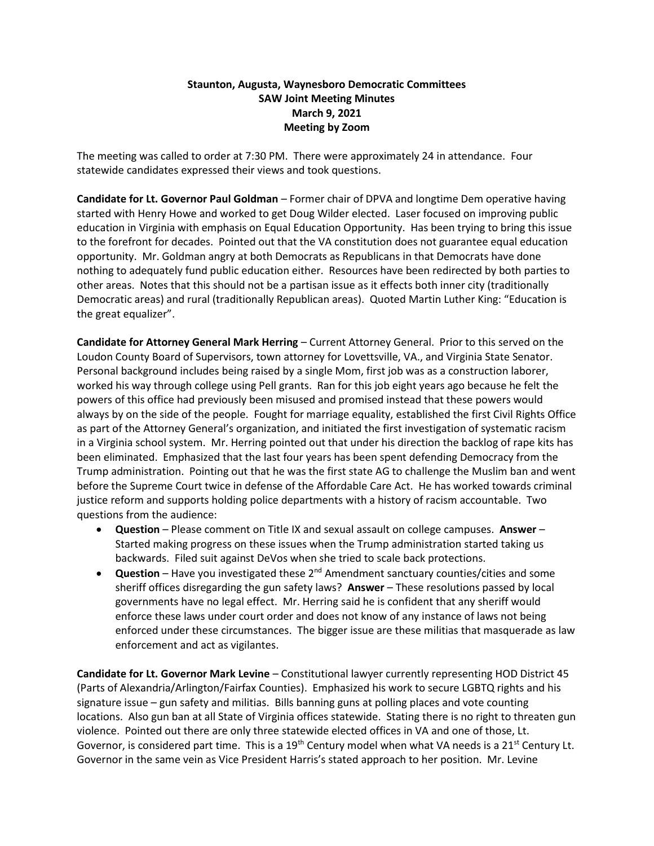## **Staunton, Augusta, Waynesboro Democratic Committees SAW Joint Meeting Minutes March 9, 2021 Meeting by Zoom**

The meeting was called to order at 7:30 PM. There were approximately 24 in attendance. Four statewide candidates expressed their views and took questions.

**Candidate for Lt. Governor Paul Goldman** – Former chair of DPVA and longtime Dem operative having started with Henry Howe and worked to get Doug Wilder elected. Laser focused on improving public education in Virginia with emphasis on Equal Education Opportunity. Has been trying to bring this issue to the forefront for decades. Pointed out that the VA constitution does not guarantee equal education opportunity. Mr. Goldman angry at both Democrats as Republicans in that Democrats have done nothing to adequately fund public education either. Resources have been redirected by both parties to other areas. Notes that this should not be a partisan issue as it effects both inner city (traditionally Democratic areas) and rural (traditionally Republican areas). Quoted Martin Luther King: "Education is the great equalizer".

**Candidate for Attorney General Mark Herring** – Current Attorney General. Prior to this served on the Loudon County Board of Supervisors, town attorney for Lovettsville, VA., and Virginia State Senator. Personal background includes being raised by a single Mom, first job was as a construction laborer, worked his way through college using Pell grants. Ran for this job eight years ago because he felt the powers of this office had previously been misused and promised instead that these powers would always by on the side of the people. Fought for marriage equality, established the first Civil Rights Office as part of the Attorney General's organization, and initiated the first investigation of systematic racism in a Virginia school system. Mr. Herring pointed out that under his direction the backlog of rape kits has been eliminated. Emphasized that the last four years has been spent defending Democracy from the Trump administration. Pointing out that he was the first state AG to challenge the Muslim ban and went before the Supreme Court twice in defense of the Affordable Care Act. He has worked towards criminal justice reform and supports holding police departments with a history of racism accountable. Two questions from the audience:

- **Question** Please comment on Title IX and sexual assault on college campuses. **Answer** Started making progress on these issues when the Trump administration started taking us backwards. Filed suit against DeVos when she tried to scale back protections.
- **Question** Have you investigated these 2<sup>nd</sup> Amendment sanctuary counties/cities and some sheriff offices disregarding the gun safety laws? **Answer** – These resolutions passed by local governments have no legal effect. Mr. Herring said he is confident that any sheriff would enforce these laws under court order and does not know of any instance of laws not being enforced under these circumstances. The bigger issue are these militias that masquerade as law enforcement and act as vigilantes.

**Candidate for Lt. Governor Mark Levine** – Constitutional lawyer currently representing HOD District 45 (Parts of Alexandria/Arlington/Fairfax Counties). Emphasized his work to secure LGBTQ rights and his signature issue – gun safety and militias. Bills banning guns at polling places and vote counting locations. Also gun ban at all State of Virginia offices statewide. Stating there is no right to threaten gun violence. Pointed out there are only three statewide elected offices in VA and one of those, Lt. Governor, is considered part time. This is a 19<sup>th</sup> Century model when what VA needs is a 21<sup>st</sup> Century Lt. Governor in the same vein as Vice President Harris's stated approach to her position. Mr. Levine